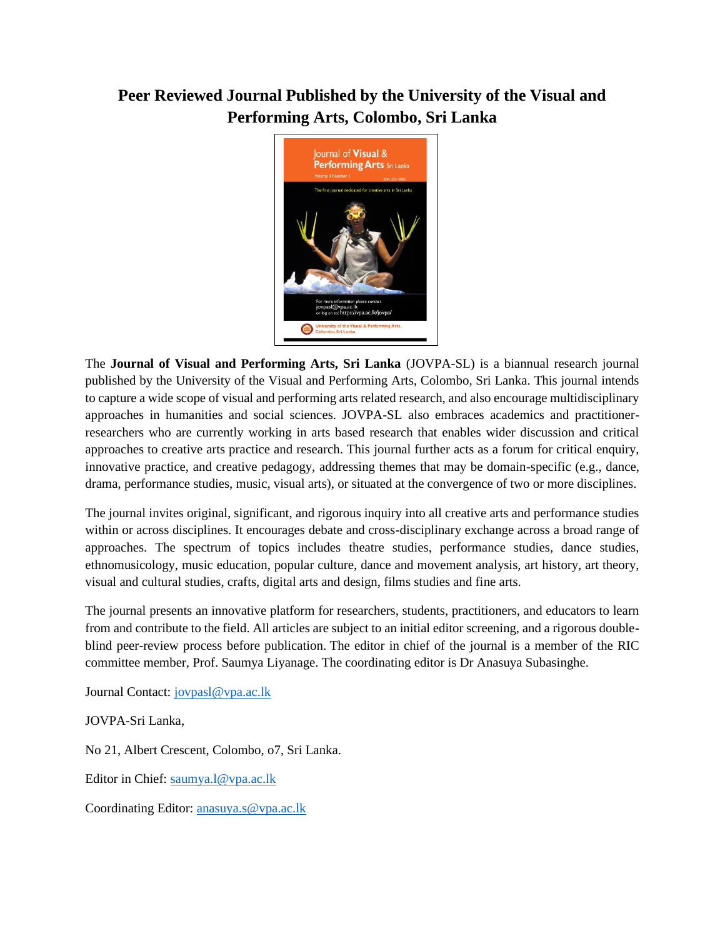## **Peer Reviewed Journal Published by the University of the Visual and Performing Arts, Colombo, Sri Lanka**



The **Journal of Visual and Performing Arts, Sri Lanka** (JOVPA-SL) is a biannual research journal published by the University of the Visual and Performing Arts, Colombo, Sri Lanka. This journal intends to capture a wide scope of visual and performing arts related research, and also encourage multidisciplinary approaches in humanities and social sciences. JOVPA-SL also embraces academics and practitionerresearchers who are currently working in arts based research that enables wider discussion and critical approaches to creative arts practice and research. This journal further acts as a forum for critical enquiry, innovative practice, and creative pedagogy, addressing themes that may be domain-specific (e.g., dance, drama, performance studies, music, visual arts), or situated at the convergence of two or more disciplines.

The journal invites original, significant, and rigorous inquiry into all creative arts and performance studies within or across disciplines. It encourages debate and cross-disciplinary exchange across a broad range of approaches. The spectrum of topics includes theatre studies, performance studies, dance studies, ethnomusicology, music education, popular culture, dance and movement analysis, art history, art theory, visual and cultural studies, crafts, digital arts and design, films studies and fine arts.

The journal presents an innovative platform for researchers, students, practitioners, and educators to learn from and contribute to the field. All articles are subject to an initial editor screening, and a rigorous doubleblind peer-review process before publication. The editor in chief of the journal is a member of the RIC committee member, Prof. Saumya Liyanage. The coordinating editor is Dr Anasuya Subasinghe.

Journal Contact: [jovpasl@vpa.ac.lk](mailto:jovpasl@vpa.ac.lk)

JOVPA-Sri Lanka,

No 21, Albert Crescent, Colombo, o7, Sri Lanka.

Editor in Chief: [saumya.l@vpa.ac.lk](mailto:saumya.l@vpa.ac.lk)

Coordinating Editor: [anasuya.s@vpa.ac.lk](mailto:anasuya.s@vpa.ac.lk)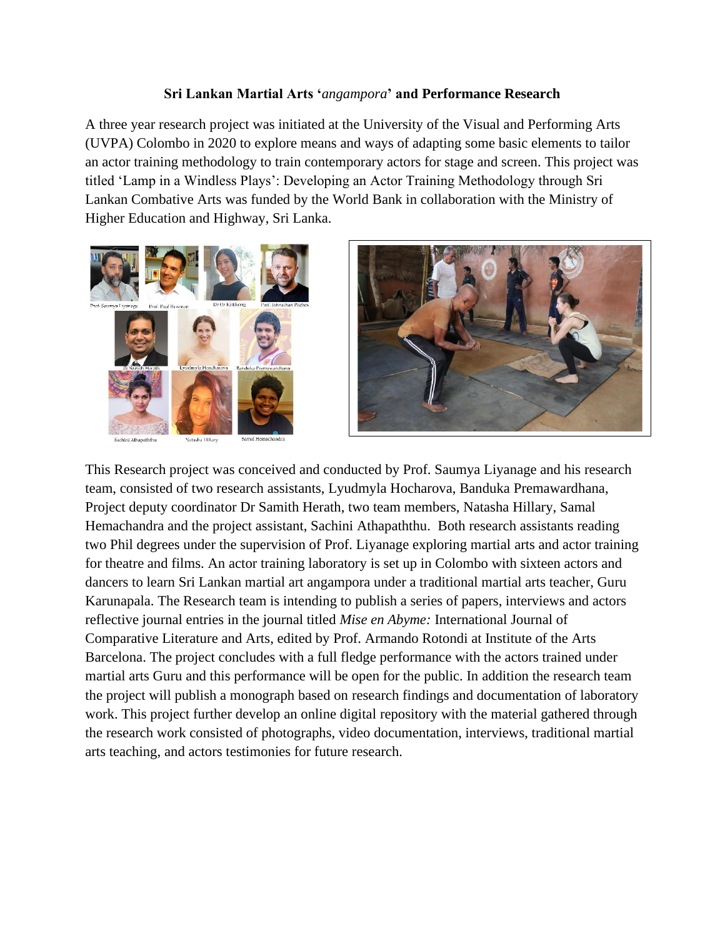## **Sri Lankan Martial Arts '***angampora***' and Performance Research**

A three year research project was initiated at the University of the Visual and Performing Arts (UVPA) Colombo in 2020 to explore means and ways of adapting some basic elements to tailor an actor training methodology to train contemporary actors for stage and screen. This project was titled 'Lamp in a Windless Plays': Developing an Actor Training Methodology through Sri Lankan Combative Arts was funded by the World Bank in collaboration with the Ministry of Higher Education and Highway, Sri Lanka.



Sachini Athapaththu

**Natasha Llillary** 



This Research project was conceived and conducted by Prof. Saumya Liyanage and his research team, consisted of two research assistants, Lyudmyla Hocharova, Banduka Premawardhana, Project deputy coordinator Dr Samith Herath, two team members, Natasha Hillary, Samal Hemachandra and the project assistant, Sachini Athapaththu. Both research assistants reading two Phil degrees under the supervision of Prof. Liyanage exploring martial arts and actor training for theatre and films. An actor training laboratory is set up in Colombo with sixteen actors and dancers to learn Sri Lankan martial art angampora under a traditional martial arts teacher, Guru Karunapala. The Research team is intending to publish a series of papers, interviews and actors reflective journal entries in the journal titled *Mise en Abyme:* International Journal of Comparative Literature and Arts, edited by Prof. Armando Rotondi at Institute of the Arts Barcelona. The project concludes with a full fledge performance with the actors trained under martial arts Guru and this performance will be open for the public. In addition the research team the project will publish a monograph based on research findings and documentation of laboratory work. This project further develop an online digital repository with the material gathered through the research work consisted of photographs, video documentation, interviews, traditional martial arts teaching, and actors testimonies for future research.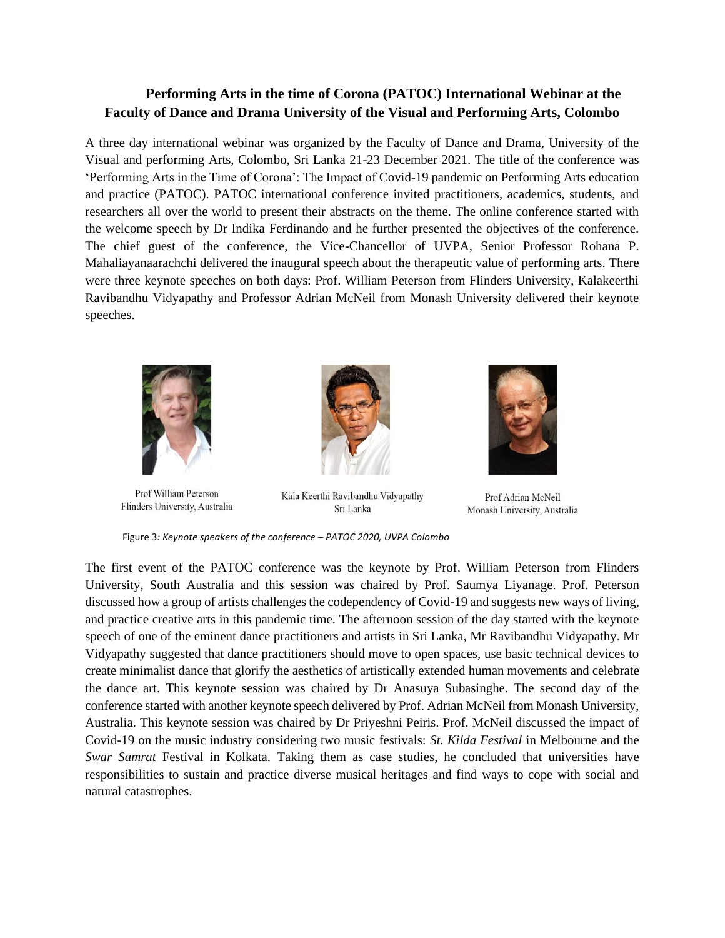## **Performing Arts in the time of Corona (PATOC) International Webinar at the Faculty of Dance and Drama University of the Visual and Performing Arts, Colombo**

A three day international webinar was organized by the Faculty of Dance and Drama, University of the Visual and performing Arts, Colombo, Sri Lanka 21-23 December 2021. The title of the conference was 'Performing Arts in the Time of Corona': The Impact of Covid-19 pandemic on Performing Arts education and practice (PATOC). PATOC international conference invited practitioners, academics, students, and researchers all over the world to present their abstracts on the theme. The online conference started with the welcome speech by Dr Indika Ferdinando and he further presented the objectives of the conference. The chief guest of the conference, the Vice-Chancellor of UVPA, Senior Professor Rohana P. Mahaliayanaarachchi delivered the inaugural speech about the therapeutic value of performing arts. There were three keynote speeches on both days: Prof. William Peterson from Flinders University, Kalakeerthi Ravibandhu Vidyapathy and Professor Adrian McNeil from Monash University delivered their keynote speeches.



Prof William Peterson Flinders University, Australia



Kala Keerthi Ravibandhu Vidyapathy Sri Lanka



Prof Adrian McNeil Monash University, Australia

Figure 3*: Keynote speakers of the conference – PATOC 2020, UVPA Colombo* 

The first event of the PATOC conference was the keynote by Prof. William Peterson from Flinders University, South Australia and this session was chaired by Prof. Saumya Liyanage. Prof. Peterson discussed how a group of artists challenges the codependency of Covid-19 and suggests new ways of living, and practice creative arts in this pandemic time. The afternoon session of the day started with the keynote speech of one of the eminent dance practitioners and artists in Sri Lanka, Mr Ravibandhu Vidyapathy. Mr Vidyapathy suggested that dance practitioners should move to open spaces, use basic technical devices to create minimalist dance that glorify the aesthetics of artistically extended human movements and celebrate the dance art. This keynote session was chaired by Dr Anasuya Subasinghe. The second day of the conference started with another keynote speech delivered by Prof. Adrian McNeil from Monash University, Australia. This keynote session was chaired by Dr Priyeshni Peiris. Prof. McNeil discussed the impact of Covid-19 on the music industry considering two music festivals: *St. Kilda Festival* in Melbourne and the *Swar Samrat* Festival in Kolkata. Taking them as case studies, he concluded that universities have responsibilities to sustain and practice diverse musical heritages and find ways to cope with social and natural catastrophes.